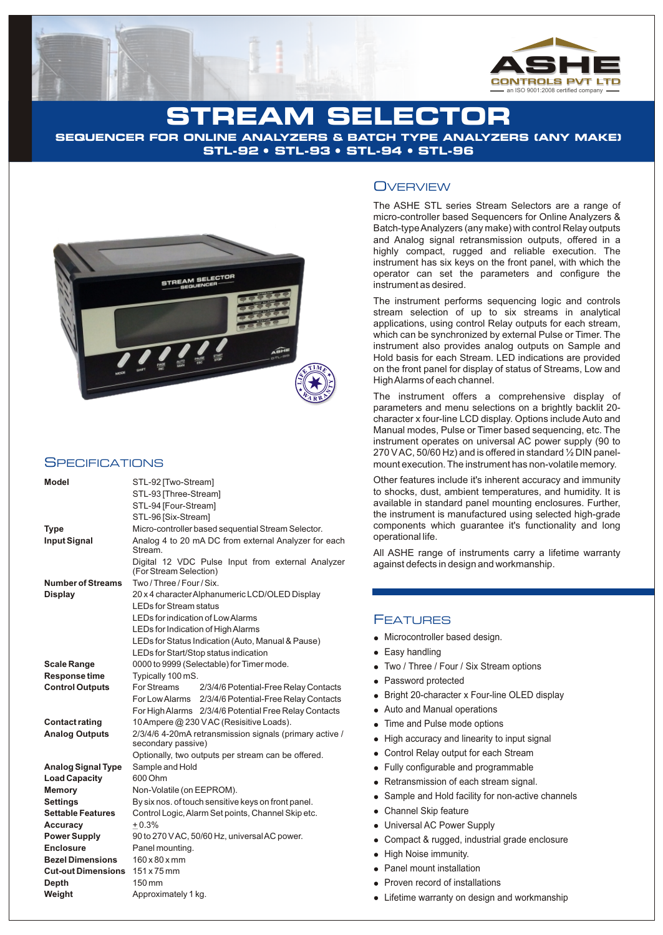

## IREAM SELE**ctio**

**SEQUENCER FOR ONLINE ANALYZERS & BATCH TYPE ANALYZERS (ANY MAKE) STL-92 • STL-93 • STL-94 • STL-96** 



#### **SPECIFICATIONS**

| <b>Model</b>              | STL-92 [Two-Stream]                                     |                                                       |
|---------------------------|---------------------------------------------------------|-------------------------------------------------------|
|                           | STL-93 [Three-Stream]                                   |                                                       |
|                           | STL-94 [Four-Stream]                                    |                                                       |
|                           | STL-96 [Six-Stream]                                     |                                                       |
| <b>Type</b>               | Micro-controller based sequential Stream Selector.      |                                                       |
| <b>Input Signal</b>       | Analog 4 to 20 mA DC from external Analyzer for each    |                                                       |
|                           | Stream.                                                 |                                                       |
|                           |                                                         | Digital 12 VDC Pulse Input from external Analyzer     |
|                           | (For Stream Selection)                                  |                                                       |
| <b>Number of Streams</b>  | Two / Three / Four / Six.                               |                                                       |
| <b>Display</b>            | 20 x 4 character Alphanumeric LCD/OLED Display          |                                                       |
|                           | <b>LEDs for Stream status</b>                           |                                                       |
|                           | LEDs for indication of Low Alarms                       |                                                       |
|                           | LEDs for Indication of High Alarms                      |                                                       |
|                           |                                                         | LEDs for Status Indication (Auto, Manual & Pause)     |
|                           | LEDs for Start/Stop status indication                   |                                                       |
| <b>Scale Range</b>        | 0000 to 9999 (Selectable) for Timer mode.               |                                                       |
| Response time             | Typically 100 mS.                                       |                                                       |
| <b>Control Outputs</b>    | For Streams                                             | 2/3/4/6 Potential-Free Relay Contacts                 |
|                           | For Low Alarms                                          | 2/3/4/6 Potential-Free Relay Contacts                 |
|                           |                                                         | For High Alarms 2/3/4/6 Potential Free Relay Contacts |
| <b>Contact rating</b>     | 10 Ampere @ 230 VAC (Resisitive Loads).                 |                                                       |
| <b>Analog Outputs</b>     | 2/3/4/6 4-20mA retransmission signals (primary active / |                                                       |
|                           | secondary passive)                                      |                                                       |
|                           | Optionally, two outputs per stream can be offered.      |                                                       |
| <b>Analog Signal Type</b> | Sample and Hold                                         |                                                       |
| <b>Load Capacity</b>      | 600 Ohm                                                 |                                                       |
| <b>Memory</b>             | Non-Volatile (on EEPROM).                               |                                                       |
| <b>Settings</b>           | By six nos. of touch sensitive keys on front panel.     |                                                       |
| <b>Settable Features</b>  | Control Logic, Alarm Set points, Channel Skip etc.      |                                                       |
| <b>Accuracy</b>           | $+0.3%$                                                 |                                                       |
| <b>Power Supply</b>       | 90 to 270 V AC, 50/60 Hz, universal AC power.           |                                                       |
| <b>Enclosure</b>          | Panel mounting.                                         |                                                       |
| <b>Bezel Dimensions</b>   | $160 \times 80 \times$ mm                               |                                                       |
| <b>Cut-out Dimensions</b> | $151 \times 75$ mm                                      |                                                       |
| <b>Depth</b>              | 150 mm                                                  |                                                       |
| Weight                    | Approximately 1 kg.                                     |                                                       |

#### **OVERVIEW**

The ASHE STL series Stream Selectors are a range of micro-controller based Sequencers for Online Analyzers & Batch-type Analyzers (any make) with control Relay outputs and Analog signal retransmission outputs, offered in a highly compact, rugged and reliable execution. The instrument has six keys on the front panel, with which the operator can set the parameters and configure the instrument as desired.

The instrument performs sequencing logic and controls stream selection of up to six streams in analytical applications, using control Relay outputs for each stream, which can be synchronized by external Pulse or Timer. The instrument also provides analog outputs on Sample and Hold basis for each Stream. LED indications are provided on the front panel for display of status of Streams, Low and High Alarms of each channel.

The instrument offers a comprehensive display of parameters and menu selections on a brightly backlit 20 character x four-line LCD display. Options include Auto and Manual modes, Pulse or Timer based sequencing, etc. The instrument operates on universal AC power supply (90 to 270 V AC, 50/60 Hz) and is offered in standard ½ DIN panelmount execution. The instrument has non-volatile memory.

Other features include it's inherent accuracy and immunity to shocks, dust, ambient temperatures, and humidity. It is available in standard panel mounting enclosures. Further, the instrument is manufactured using selected high-grade components which guarantee it's functionality and long operational life.

All ASHE range of instruments carry a lifetime warranty against defects in design and workmanship.

#### FEATURES

- Microcontroller based design.
- Easy handling
- Two / Three / Four / Six Stream options
- Password protected
- Bright 20-character x Four-line OLED display
- Auto and Manual operations
- Time and Pulse mode options
- High accuracy and linearity to input signal
- Control Relay output for each Stream
- Fully configurable and programmable
- Retransmission of each stream signal.
- Sample and Hold facility for non-active channels
- Channel Skip feature
- Universal AC Power Supply
- Compact & rugged, industrial grade enclosure
- High Noise immunity.
- Panel mount installation
- Proven record of installations
- Lifetime warranty on design and workmanship